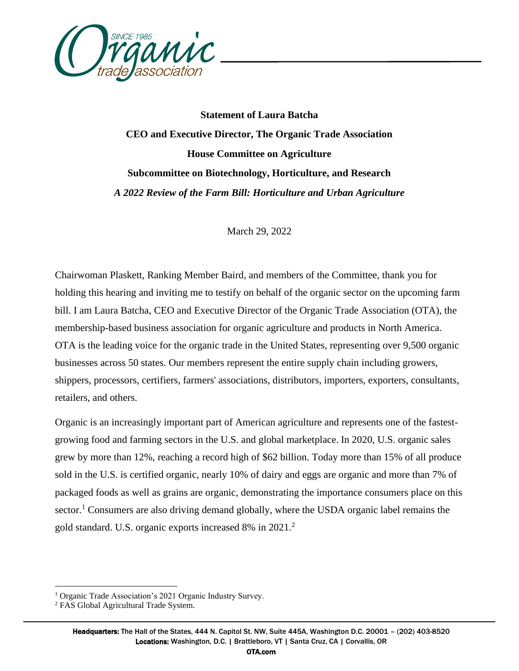

**Statement of Laura Batcha CEO and Executive Director, The Organic Trade Association House Committee on Agriculture Subcommittee on Biotechnology, Horticulture, and Research** *A 2022 Review of the Farm Bill: Horticulture and Urban Agriculture*

March 29, 2022

Chairwoman Plaskett, Ranking Member Baird, and members of the Committee, thank you for holding this hearing and inviting me to testify on behalf of the organic sector on the upcoming farm bill. I am Laura Batcha, CEO and Executive Director of the Organic Trade Association (OTA), the membership-based business association for organic agriculture and products in North America. OTA is the leading voice for the organic trade in the United States, representing over 9,500 organic businesses across 50 states. Our members represent the entire supply chain including growers, shippers, processors, certifiers, farmers' associations, distributors, importers, exporters, consultants, retailers, and others.

Organic is an increasingly important part of American agriculture and represents one of the fastestgrowing food and farming sectors in the U.S. and global marketplace. In 2020, U.S. organic sales grew by more than 12%, reaching a record high of \$62 billion. Today more than 15% of all produce sold in the U.S. is certified organic, nearly 10% of dairy and eggs are organic and more than 7% of packaged foods as well as grains are organic, demonstrating the importance consumers place on this sector.<sup>1</sup> Consumers are also driving demand globally, where the USDA organic label remains the gold standard. U.S. organic exports increased 8% in 2021.<sup>2</sup>

<sup>&</sup>lt;sup>1</sup> Organic Trade Association's 2021 Organic Industry Survey.

<sup>2</sup> FAS Global Agricultural Trade System.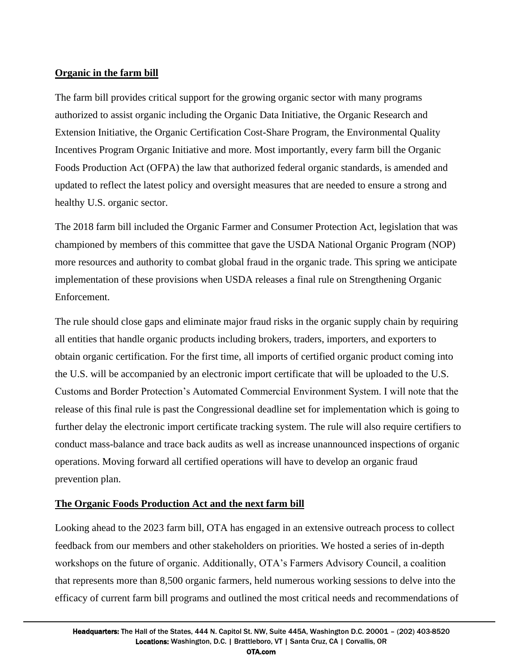## **Organic in the farm bill**

The farm bill provides critical support for the growing organic sector with many programs authorized to assist organic including the Organic Data Initiative, the Organic Research and Extension Initiative, the Organic Certification Cost-Share Program, the Environmental Quality Incentives Program Organic Initiative and more. Most importantly, every farm bill the Organic Foods Production Act (OFPA) the law that authorized federal organic standards, is amended and updated to reflect the latest policy and oversight measures that are needed to ensure a strong and healthy U.S. organic sector.

The 2018 farm bill included the Organic Farmer and Consumer Protection Act, legislation that was championed by members of this committee that gave the USDA National Organic Program (NOP) more resources and authority to combat global fraud in the organic trade. This spring we anticipate implementation of these provisions when USDA releases a final rule on Strengthening Organic Enforcement.

The rule should close gaps and eliminate major fraud risks in the organic supply chain by requiring all entities that handle organic products including brokers, traders, importers, and exporters to obtain organic certification. For the first time, all imports of certified organic product coming into the U.S. will be accompanied by an electronic import certificate that will be uploaded to the U.S. Customs and Border Protection's Automated Commercial Environment System. I will note that the release of this final rule is past the Congressional deadline set for implementation which is going to further delay the electronic import certificate tracking system. The rule will also require certifiers to conduct mass-balance and trace back audits as well as increase unannounced inspections of organic operations. Moving forward all certified operations will have to develop an organic fraud prevention plan.

## **The Organic Foods Production Act and the next farm bill**

Looking ahead to the 2023 farm bill, OTA has engaged in an extensive outreach process to collect feedback from our members and other stakeholders on priorities. We hosted a series of in-depth workshops on the future of organic. Additionally, OTA's Farmers Advisory Council, a coalition that represents more than 8,500 organic farmers, held numerous working sessions to delve into the efficacy of current farm bill programs and outlined the most critical needs and recommendations of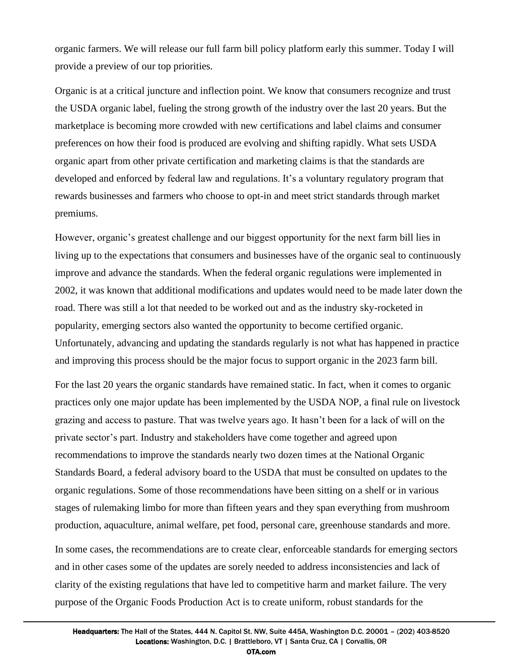organic farmers. We will release our full farm bill policy platform early this summer. Today I will provide a preview of our top priorities.

Organic is at a critical juncture and inflection point. We know that consumers recognize and trust the USDA organic label, fueling the strong growth of the industry over the last 20 years. But the marketplace is becoming more crowded with new certifications and label claims and consumer preferences on how their food is produced are evolving and shifting rapidly. What sets USDA organic apart from other private certification and marketing claims is that the standards are developed and enforced by federal law and regulations. It's a voluntary regulatory program that rewards businesses and farmers who choose to opt-in and meet strict standards through market premiums.

However, organic's greatest challenge and our biggest opportunity for the next farm bill lies in living up to the expectations that consumers and businesses have of the organic seal to continuously improve and advance the standards. When the federal organic regulations were implemented in 2002, it was known that additional modifications and updates would need to be made later down the road. There was still a lot that needed to be worked out and as the industry sky-rocketed in popularity, emerging sectors also wanted the opportunity to become certified organic. Unfortunately, advancing and updating the standards regularly is not what has happened in practice and improving this process should be the major focus to support organic in the 2023 farm bill.

For the last 20 years the organic standards have remained static. In fact, when it comes to organic practices only one major update has been implemented by the USDA NOP, a final rule on livestock grazing and access to pasture. That was twelve years ago. It hasn't been for a lack of will on the private sector's part. Industry and stakeholders have come together and agreed upon recommendations to improve the standards nearly two dozen times at the National Organic Standards Board, a federal advisory board to the USDA that must be consulted on updates to the organic regulations. Some of those recommendations have been sitting on a shelf or in various stages of rulemaking limbo for more than fifteen years and they span everything from mushroom production, aquaculture, animal welfare, pet food, personal care, greenhouse standards and more.

In some cases, the recommendations are to create clear, enforceable standards for emerging sectors and in other cases some of the updates are sorely needed to address inconsistencies and lack of clarity of the existing regulations that have led to competitive harm and market failure. The very purpose of the Organic Foods Production Act is to create uniform, robust standards for the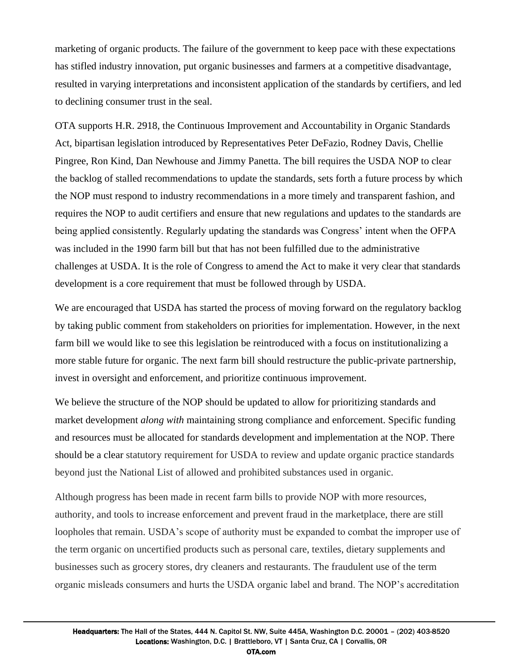marketing of organic products. The failure of the government to keep pace with these expectations has stifled industry innovation, put organic businesses and farmers at a competitive disadvantage, resulted in varying interpretations and inconsistent application of the standards by certifiers, and led to declining consumer trust in the seal.

OTA supports H.R. 2918, the Continuous Improvement and Accountability in Organic Standards Act, bipartisan legislation introduced by Representatives Peter DeFazio, Rodney Davis, Chellie Pingree, Ron Kind, Dan Newhouse and Jimmy Panetta. The bill requires the USDA NOP to clear the backlog of stalled recommendations to update the standards, sets forth a future process by which the NOP must respond to industry recommendations in a more timely and transparent fashion, and requires the NOP to audit certifiers and ensure that new regulations and updates to the standards are being applied consistently. Regularly updating the standards was Congress' intent when the OFPA was included in the 1990 farm bill but that has not been fulfilled due to the administrative challenges at USDA. It is the role of Congress to amend the Act to make it very clear that standards development is a core requirement that must be followed through by USDA.

We are encouraged that USDA has started the process of moving forward on the regulatory backlog by taking public comment from stakeholders on priorities for implementation. However, in the next farm bill we would like to see this legislation be reintroduced with a focus on institutionalizing a more stable future for organic. The next farm bill should restructure the public-private partnership, invest in oversight and enforcement, and prioritize continuous improvement.

We believe the structure of the NOP should be updated to allow for prioritizing standards and market development *along with* maintaining strong compliance and enforcement. Specific funding and resources must be allocated for standards development and implementation at the NOP. There should be a clear statutory requirement for USDA to review and update organic practice standards beyond just the National List of allowed and prohibited substances used in organic.

Although progress has been made in recent farm bills to provide NOP with more resources, authority, and tools to increase enforcement and prevent fraud in the marketplace, there are still loopholes that remain. USDA's scope of authority must be expanded to combat the improper use of the term organic on uncertified products such as personal care, textiles, dietary supplements and businesses such as grocery stores, dry cleaners and restaurants. The fraudulent use of the term organic misleads consumers and hurts the USDA organic label and brand. The NOP's accreditation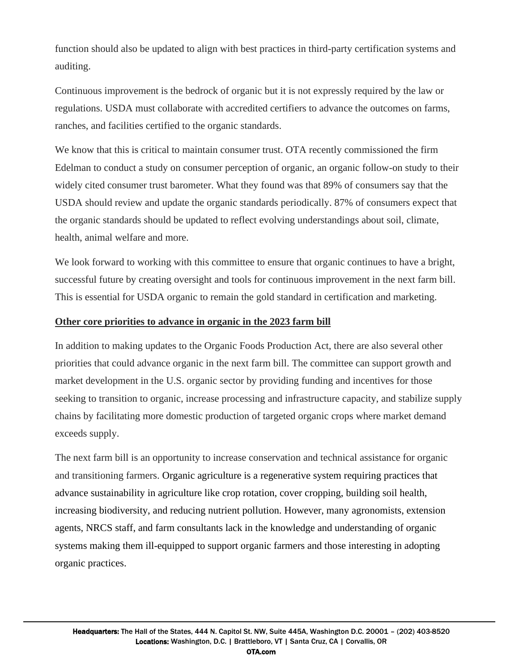function should also be updated to align with best practices in third-party certification systems and auditing.

Continuous improvement is the bedrock of organic but it is not expressly required by the law or regulations. USDA must collaborate with accredited certifiers to advance the outcomes on farms, ranches, and facilities certified to the organic standards.

We know that this is critical to maintain consumer trust. OTA recently commissioned the firm Edelman to conduct a study on consumer perception of organic, an organic follow-on study to their widely cited consumer trust barometer. What they found was that 89% of consumers say that the USDA should review and update the organic standards periodically. 87% of consumers expect that the organic standards should be updated to reflect evolving understandings about soil, climate, health, animal welfare and more.

We look forward to working with this committee to ensure that organic continues to have a bright, successful future by creating oversight and tools for continuous improvement in the next farm bill. This is essential for USDA organic to remain the gold standard in certification and marketing.

## **Other core priorities to advance in organic in the 2023 farm bill**

In addition to making updates to the Organic Foods Production Act, there are also several other priorities that could advance organic in the next farm bill. The committee can support growth and market development in the U.S. organic sector by providing funding and incentives for those seeking to transition to organic, increase processing and infrastructure capacity, and stabilize supply chains by facilitating more domestic production of targeted organic crops where market demand exceeds supply.

The next farm bill is an opportunity to increase conservation and technical assistance for organic and transitioning farmers. Organic agriculture is a regenerative system requiring practices that advance sustainability in agriculture like crop rotation, cover cropping, building soil health, increasing biodiversity, and reducing nutrient pollution. However, many agronomists, extension agents, NRCS staff, and farm consultants lack in the knowledge and understanding of organic systems making them ill-equipped to support organic farmers and those interesting in adopting organic practices.